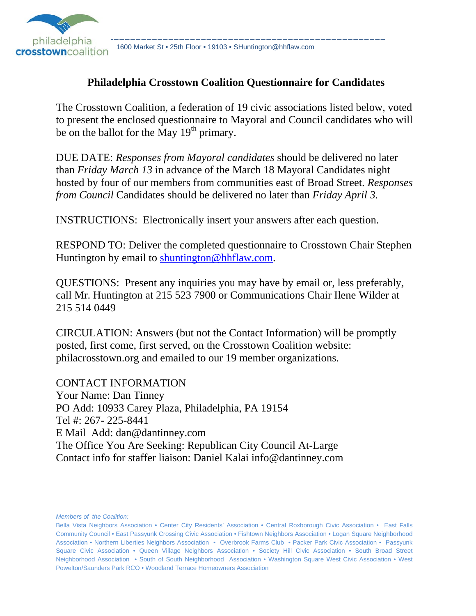

1600 Market St • 25th Floor • 19103 • SHuntington@hhflaw.com

### **Philadelphia Crosstown Coalition Questionnaire for Candidates**

The Crosstown Coalition, a federation of 19 civic associations listed below, voted to present the enclosed questionnaire to Mayoral and Council candidates who will be on the ballot for the May  $19<sup>th</sup>$  primary.

DUE DATE: *Responses from Mayoral candidates* should be delivered no later than *Friday March 13* in advance of the March 18 Mayoral Candidates night hosted by four of our members from communities east of Broad Street. *Responses from Council* Candidates should be delivered no later than *Friday April 3.*

INSTRUCTIONS: Electronically insert your answers after each question.

RESPOND TO: Deliver the completed questionnaire to Crosstown Chair Stephen Huntington by email to shuntington@hhflaw.com.

QUESTIONS: Present any inquiries you may have by email or, less preferably, call Mr. Huntington at 215 523 7900 or Communications Chair Ilene Wilder at 215 514 0449

CIRCULATION: Answers (but not the Contact Information) will be promptly posted, first come, first served, on the Crosstown Coalition website: philacrosstown.org and emailed to our 19 member organizations.

CONTACT INFORMATION Your Name: Dan Tinney PO Add: 10933 Carey Plaza, Philadelphia, PA 19154 Tel #: 267- 225-8441 E Mail Add: dan@dantinney.com The Office You Are Seeking: Republican City Council At-Large Contact info for staffer liaison: Daniel Kalai info@dantinney.com

*Members of the Coalition:*

Bella Vista Neighbors Association • Center City Residents' Association • Central Roxborough Civic Association • East Falls Community Council • East Passyunk Crossing Civic Association • Fishtown Neighbors Association • Logan Square Neighborhood Association • Northern Liberties Neighbors Association • Overbrook Farms Club • Packer Park Civic Association • Passyunk Square Civic Association • Queen Village Neighbors Association • Society Hill Civic Association • South Broad Street Neighborhood Association • South of South Neighborhood Association • Washington Square West Civic Association • West Powelton/Saunders Park RCO • Woodland Terrace Homeowners Association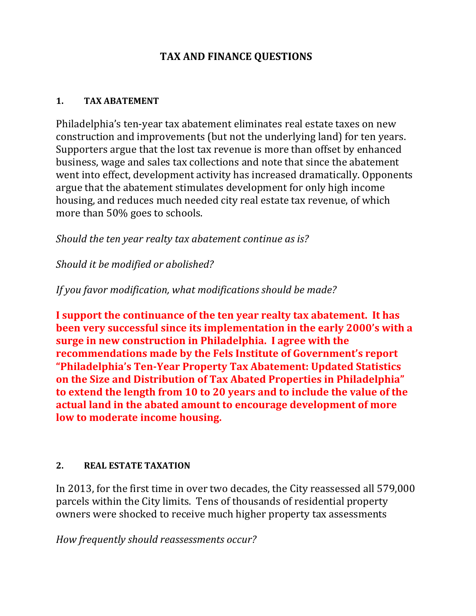## **TAX AND FINANCE QUESTIONS**

#### **1. TAX ABATEMENT**

Philadelphia's ten-year tax abatement eliminates real estate taxes on new construction and improvements (but not the underlying land) for ten years. Supporters argue that the lost tax revenue is more than offset by enhanced business, wage and sales tax collections and note that since the abatement went into effect, development activity has increased dramatically. Opponents argue that the abatement stimulates development for only high income housing, and reduces much needed city real estate tax revenue, of which more than 50% goes to schools.

*Should the ten year realty tax abatement continue as is?*

*Should it be modified or abolished?*

*If you favor modification, what modifications should be made?* 

**I support the continuance of the ten year realty tax abatement. It has been very successful since its implementation in the early 2000's with a surge in new construction in Philadelphia. I agree with the recommendations made by the Fels Institute of Government's report "Philadelphia's Ten‐Year Property Tax Abatement: Updated Statistics on the Size and Distribution of Tax Abated Properties in Philadelphia" to extend the length from 10 to 20 years and to include the value of the actual land in the abated amount to encourage development of more low to moderate income housing.** 

#### **2. REAL ESTATE TAXATION**

In 2013, for the first time in over two decades, the City reassessed all 579,000 parcels within the City limits. Tens of thousands of residential property owners were shocked to receive much higher property tax assessments

*How frequently should reassessments occur?*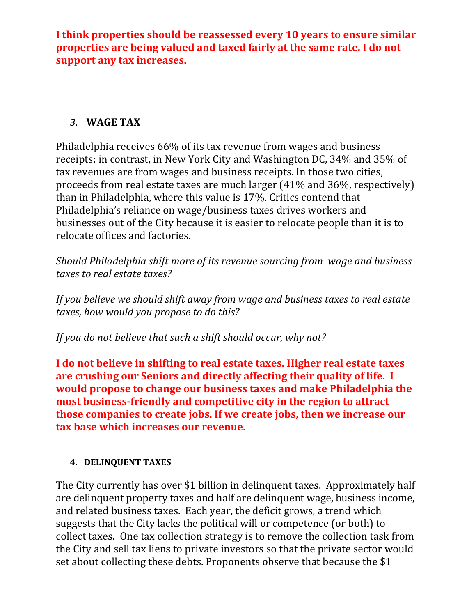**I think properties should be reassessed every 10 years to ensure similar properties are being valued and taxed fairly at the same rate. I do not support any tax increases.** 

## *3.* **WAGE TAX**

Philadelphia receives 66% of its tax revenue from wages and business receipts; in contrast, in New York City and Washington DC, 34% and 35% of tax revenues are from wages and business receipts. In those two cities, proceeds from real estate taxes are much larger  $(41\%$  and  $36\%$ , respectively) than in Philadelphia, where this value is 17%. Critics contend that Philadelphia's reliance on wage/business taxes drives workers and businesses out of the City because it is easier to relocate people than it is to relocate offices and factories.

*Should Philadelphia shift more of its revenue sourcing from wage and business taxes to real estate taxes?* 

*If you believe we should shift away from wage and business taxes to real estate taxes, how would you propose to do this?* 

*If you do not believe that such a shift should occur, why not?* 

**I do not believe in shifting to real estate taxes. Higher real estate taxes are crushing our Seniors and directly affecting their quality of life. I would propose to change our business taxes and make Philadelphia the most business‐friendly and competitive city in the region to attract those companies to create jobs. If we create jobs, then we increase our tax base which increases our revenue.**

### **4. DELINQUENT TAXES**

The City currently has over \$1 billion in delinguent taxes. Approximately half are delinquent property taxes and half are delinquent wage, business income, and related business taxes. Each year, the deficit grows, a trend which suggests that the City lacks the political will or competence (or both) to collect taxes. One tax collection strategy is to remove the collection task from the City and sell tax liens to private investors so that the private sector would set about collecting these debts. Proponents observe that because the \$1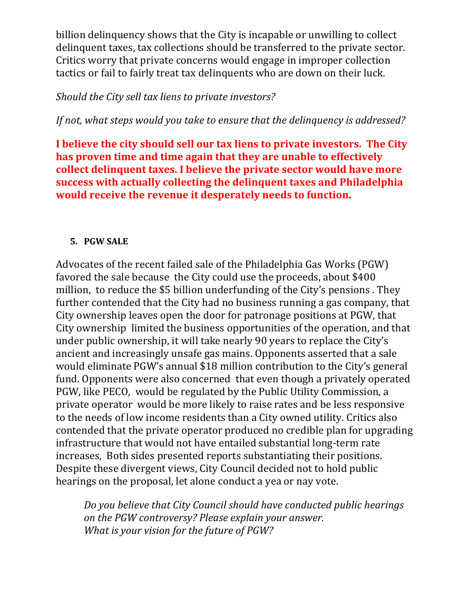billion delinquency shows that the City is incapable or unwilling to collect delinquent taxes, tax collections should be transferred to the private sector. Critics worry that private concerns would engage in improper collection tactics or fail to fairly treat tax delinquents who are down on their luck.

### *Should the City sell tax liens to private investors?*

*If not, what steps would you take to ensure that the delinquency is addressed?*

**I believe the city should sell our tax liens to private investors. The City has proven time and time again that they are unable to effectively collect delinquent taxes. I believe the private sector would have more success with actually collecting the delinquent taxes and Philadelphia would receive the revenue it desperately needs to function.** 

#### **5. PGW SALE**

Advocates of the recent failed sale of the Philadelphia Gas Works (PGW) favored the sale because the City could use the proceeds, about \$400 million, to reduce the \$5 billion underfunding of the City's pensions. They further contended that the City had no business running a gas company, that City ownership leaves open the door for patronage positions at PGW, that City ownership limited the business opportunities of the operation, and that under public ownership, it will take nearly 90 years to replace the City's ancient and increasingly unsafe gas mains. Opponents asserted that a sale would eliminate PGW's annual \$18 million contribution to the City's general fund. Opponents were also concerned that even though a privately operated PGW, like PECO, would be regulated by the Public Utility Commission, a private operator would be more likely to raise rates and be less responsive to the needs of low income residents than a City owned utility. Critics also contended that the private operator produced no credible plan for upgrading infrastructure that would not have entailed substantial long-term rate increases. Both sides presented reports substantiating their positions. Despite these divergent views, City Council decided not to hold public hearings on the proposal, let alone conduct a yea or nay vote.

*Do you believe that City Council should have conducted public hearings on the PGW controversy? Please explain your answer. What is your vision for the future of PGW?*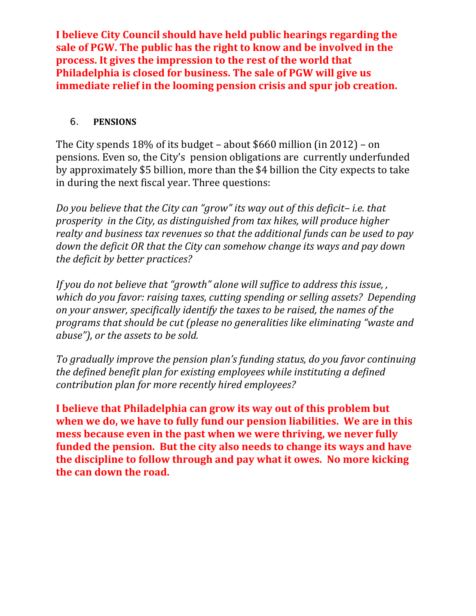**I believe City Council should have held public hearings regarding the sale of PGW. The public has the right to know and be involved in the process. It gives the impression to the rest of the world that Philadelphia is closed for business. The sale of PGW will give us immediate relief in the looming pension crisis and spur job creation.**

#### 6. **PENSIONS**

The City spends  $18\%$  of its budget – about \$660 million (in 2012) – on pensions. Even so, the City's pension obligations are currently underfunded by approximately \$5 billion, more than the \$4 billion the City expects to take in during the next fiscal year. Three questions:

*Do you believe that the City can "grow" its way out of this deficit– i.e. that prosperity in the City, as distinguished from tax hikes, will produce higher realty and business tax revenues so that the additional funds can be used to pay down the deficit OR that the City can somehow change its ways and pay down the deficit by better practices?*

*If you do not believe that "growth" alone will suffice to address this issue, , which do you favor: raising taxes, cutting spending or selling assets? Depending on your answer, specifically identify the taxes to be raised, the names of the programs that should be cut (please no generalities like eliminating "waste and abuse"), or the assets to be sold.*

*To gradually improve the pension plan's funding status, do you favor continuing the defined benefit plan for existing employees while instituting a defined contribution plan for more recently hired employees?*

**I believe that Philadelphia can grow its way out of this problem but when we do, we have to fully fund our pension liabilities. We are in this mess because even in the past when we were thriving, we never fully funded the pension. But the city also needs to change its ways and have the discipline to follow through and pay what it owes. No more kicking the can down the road.**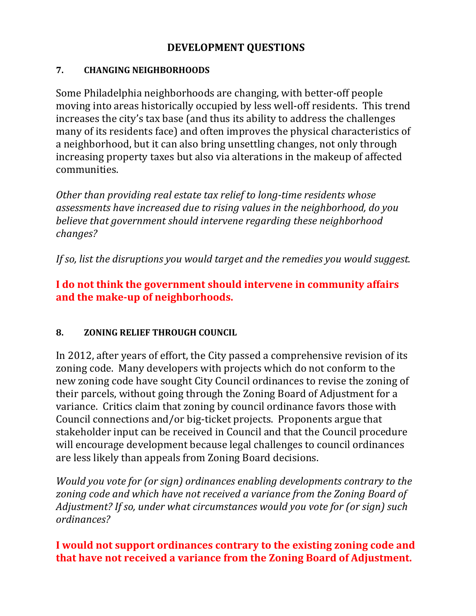## **DEVELOPMENT QUESTIONS**

### **7. CHANGING NEIGHBORHOODS**

Some Philadelphia neighborhoods are changing, with better-off people moving into areas historically occupied by less well-off residents. This trend increases the city's tax base (and thus its ability to address the challenges many of its residents face) and often improves the physical characteristics of a neighborhood, but it can also bring unsettling changes, not only through increasing property taxes but also via alterations in the makeup of affected communities. 

*Other than providing real estate tax relief to long‐time residents whose assessments have increased due to rising values in the neighborhood, do you believe that government should intervene regarding these neighborhood changes?*

*If so, list the disruptions you would target and the remedies you would suggest.* 

## **I do not think the government should intervene in community affairs and the make‐up of neighborhoods.**

## **8. ZONING RELIEF THROUGH COUNCIL**

In 2012, after years of effort, the City passed a comprehensive revision of its zoning code. Many developers with projects which do not conform to the new zoning code have sought City Council ordinances to revise the zoning of their parcels, without going through the Zoning Board of Adjustment for a variance. Critics claim that zoning by council ordinance favors those with Council connections and/or big-ticket projects. Proponents argue that stakeholder input can be received in Council and that the Council procedure will encourage development because legal challenges to council ordinances are less likely than appeals from Zoning Board decisions.

*Would you vote for (or sign) ordinances enabling developments contrary to the zoning code and which have not received a variance from the Zoning Board of Adjustment? If so, under what circumstances would you vote for (or sign) such ordinances?*

# **I would not support ordinances contrary to the existing zoning code and that have not received a variance from the Zoning Board of Adjustment.**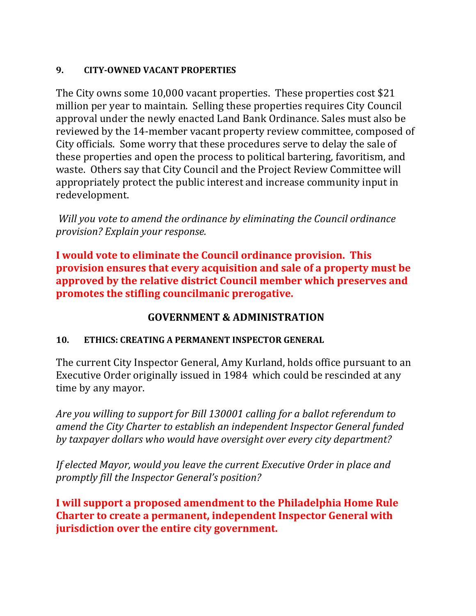### **9. CITY‐OWNED VACANT PROPERTIES**

The City owns some  $10,000$  vacant properties. These properties cost \$21 million per year to maintain. Selling these properties requires City Council approval under the newly enacted Land Bank Ordinance. Sales must also be reviewed by the 14-member vacant property review committee, composed of City officials. Some worry that these procedures serve to delay the sale of these properties and open the process to political bartering, favoritism, and waste. Others say that City Council and the Project Review Committee will appropriately protect the public interest and increase community input in redevelopment. 

*Will you vote to amend the ordinance by eliminating the Council ordinance provision? Explain your response.*

**I would vote to eliminate the Council ordinance provision. This provision ensures that every acquisition and sale of a property must be approved by the relative district Council member which preserves and promotes the stifling councilmanic prerogative.**

## **GOVERNMENT & ADMINISTRATION**

### **10. ETHICS: CREATING A PERMANENT INSPECTOR GENERAL**

The current City Inspector General, Amy Kurland, holds office pursuant to an Executive Order originally issued in 1984 which could be rescinded at any time by any mayor.

*Are you willing to support for Bill 130001 calling for a ballot referendum to amend the City Charter to establish an independent Inspector General funded by taxpayer dollars who would have oversight over every city department?* 

*If elected Mayor, would you leave the current Executive Order in place and promptly fill the Inspector General's position?*

**I will support a proposed amendment to the Philadelphia Home Rule Charter to create a permanent, independent Inspector General with jurisdiction over the entire city government.**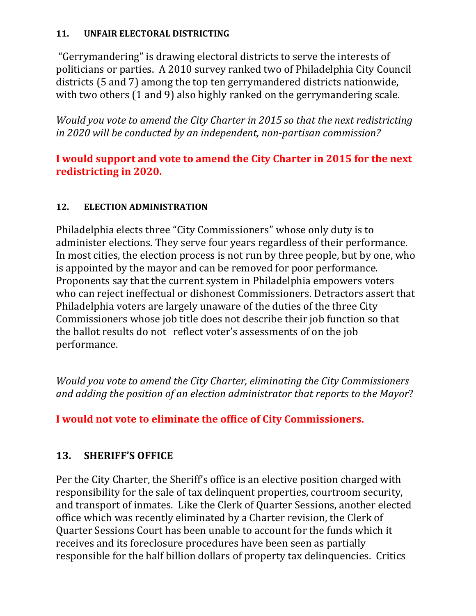### 11. **UNFAIR ELECTORAL DISTRICTING**

"Gerrymandering" is drawing electoral districts to serve the interests of politicians or parties. A 2010 survey ranked two of Philadelphia City Council districts (5 and 7) among the top ten gerrymandered districts nationwide, with two others  $(1 \text{ and } 9)$  also highly ranked on the gerrymandering scale.

*Would you vote to amend the City Charter in 2015 so that the next redistricting in 2020 will be conducted by an independent, non‐partisan commission?* 

## **I would support and vote to amend the City Charter in 2015 for the next redistricting in 2020.**

### 12. **ELECTION ADMINISTRATION**

Philadelphia elects three "City Commissioners" whose only duty is to administer elections. They serve four years regardless of their performance. In most cities, the election process is not run by three people, but by one, who is appointed by the mayor and can be removed for poor performance. Proponents say that the current system in Philadelphia empowers voters who can reject ineffectual or dishonest Commissioners. Detractors assert that Philadelphia voters are largely unaware of the duties of the three City Commissioners whose job title does not describe their job function so that the ballot results do not reflect voter's assessments of on the job performance. 

*Would you vote to amend the City Charter, eliminating the City Commissioners and adding the position of an election administrator that reports to the Mayor*? 

**I would not vote to eliminate the office of City Commissioners.** 

## 13. **SHERIFF'S OFFICE**

Per the City Charter, the Sheriff's office is an elective position charged with responsibility for the sale of tax delinquent properties, courtroom security, and transport of inmates. Like the Clerk of Quarter Sessions, another elected office which was recently eliminated by a Charter revision, the Clerk of Quarter Sessions Court has been unable to account for the funds which it receives and its foreclosure procedures have been seen as partially responsible for the half billion dollars of property tax delinquencies. Critics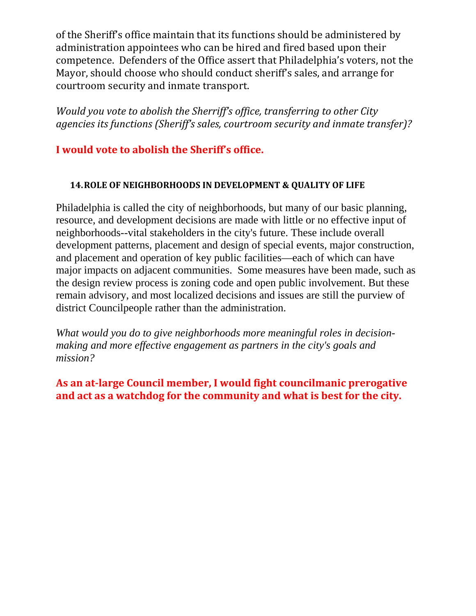of the Sheriff's office maintain that its functions should be administered by administration appointees who can be hired and fired based upon their competence. Defenders of the Office assert that Philadelphia's voters, not the Mayor, should choose who should conduct sheriff's sales, and arrange for courtroom security and inmate transport.

*Would you vote to abolish the Sherriff's office, transferring to other City agencies its functions (Sheriff's sales, courtroom security and inmate transfer)?* 

## **I would vote to abolish the Sheriff's office.**

#### **14.ROLE OF NEIGHBORHOODS IN DEVELOPMENT & QUALITY OF LIFE**

Philadelphia is called the city of neighborhoods, but many of our basic planning, resource, and development decisions are made with little or no effective input of neighborhoods--vital stakeholders in the city's future. These include overall development patterns, placement and design of special events, major construction, and placement and operation of key public facilities—each of which can have major impacts on adjacent communities. Some measures have been made, such as the design review process is zoning code and open public involvement. But these remain advisory, and most localized decisions and issues are still the purview of district Councilpeople rather than the administration.

*What would you do to give neighborhoods more meaningful roles in decisionmaking and more effective engagement as partners in the city's goals and mission?* 

**As an at‐large Council member, I would fight councilmanic prerogative and act as a watchdog for the community and what is best for the city.**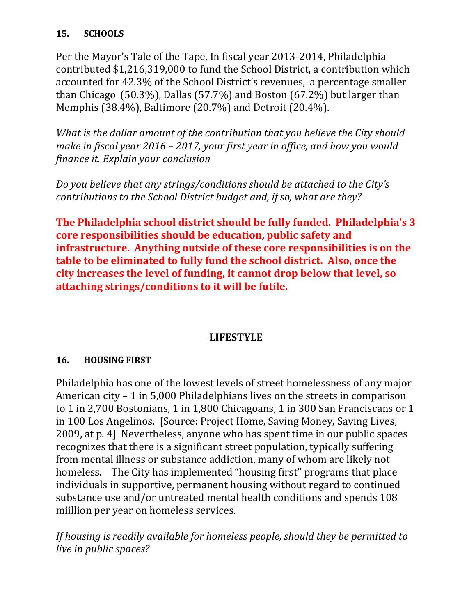### **15. SCHOOLS**

Per the Mayor's Tale of the Tape, In fiscal year 2013-2014, Philadelphia contributed \$1,216,319,000 to fund the School District, a contribution which accounted for 42.3% of the School District's revenues, a percentage smaller than Chicago  $(50.3\%)$ , Dallas  $(57.7\%)$  and Boston  $(67.2\%)$  but larger than Memphis (38.4%), Baltimore (20.7%) and Detroit (20.4%).

*What is the dollar amount of the contribution that you believe the City should make in fiscal year 2016 – 2017, your first year in office, and how you would finance it. Explain your conclusion*

*Do you believe that any strings/conditions should be attached to the City's contributions to the School District budget and, if so, what are they?*

**The Philadelphia school district should be fully funded. Philadelphia's 3 core responsibilities should be education, public safety and infrastructure. Anything outside of these core responsibilities is on the table to be eliminated to fully fund the school district. Also, once the city increases the level of funding, it cannot drop below that level, so attaching strings/conditions to it will be futile.** 

## **LIFESTYLE**

### **16. HOUSING FIRST**

Philadelphia has one of the lowest levels of street homelessness of any major American  $city - 1$  in 5,000 Philadelphians lives on the streets in comparison to 1 in 2,700 Bostonians, 1 in 1,800 Chicagoans, 1 in 300 San Franciscans or 1 in 100 Los Angelinos. [Source: Project Home, Saving Money, Saving Lives, 2009, at p. 4] Nevertheless, anyone who has spent time in our public spaces recognizes that there is a significant street population, typically suffering from mental illness or substance addiction, many of whom are likely not homeless. The City has implemented "housing first" programs that place individuals in supportive, permanent housing without regard to continued substance use and/or untreated mental health conditions and spends 108 miillion per year on homeless services.

*If housing is readily available for homeless people, should they be permitted to live in public spaces?*